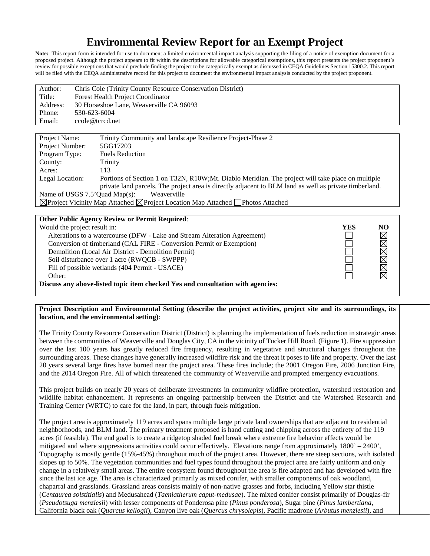# **Environmental Review Report for an Exempt Project**

Note: This report form is intended for use to document a limited environmental impact analysis supporting the filing of a notice of exemption document for a proposed project. Although the project appears to fit within the descriptions for allowable categorical exemptions, this report presents the project proponent's review for possible exceptions that would preclude finding the project to be categorically exempt as discussed in CEQA Guidelines Section 15300.2. This report will be filed with the CEQA administrative record for this project to document the environmental impact analysis conducted by the project proponent.

| Author:  | Chris Cole (Trinity County Resource Conservation District) |
|----------|------------------------------------------------------------|
| Title:   | <b>Forest Health Project Coordinator</b>                   |
| Address: | 30 Horseshoe Lane, Weaverville CA 96093                    |
| Phone:   | 530-623-6004                                               |
| Email:   | ccole@tcrcd.net                                            |
|          |                                                            |

| Project Name:                                                                                              | Trinity Community and landscape Resilience Project-Phase 2                                             |  |  |  |  |
|------------------------------------------------------------------------------------------------------------|--------------------------------------------------------------------------------------------------------|--|--|--|--|
| Project Number:                                                                                            | 5GG17203                                                                                               |  |  |  |  |
| Program Type:                                                                                              | <b>Fuels Reduction</b>                                                                                 |  |  |  |  |
| County:                                                                                                    | Trinity                                                                                                |  |  |  |  |
| Acres:                                                                                                     | 113                                                                                                    |  |  |  |  |
| Legal Location:                                                                                            | Portions of Section 1 on T32N, R10W;Mt. Diablo Meridian. The project will take place on multiple       |  |  |  |  |
|                                                                                                            | private land parcels. The project area is directly adjacent to BLM land as well as private timberland. |  |  |  |  |
| Name of USGS $7.5$ <sup>'</sup> Quad Map(s):<br>Weaverville                                                |                                                                                                        |  |  |  |  |
| $\boxtimes$ Project Vicinity Map Attached $\boxtimes$ Project Location Map Attached $\Box$ Photos Attached |                                                                                                        |  |  |  |  |
|                                                                                                            |                                                                                                        |  |  |  |  |

#### **Other Public Agency Review or Permit Required**:

| Would the project result in:                                                    | YES | NO           |  |
|---------------------------------------------------------------------------------|-----|--------------|--|
| Alterations to a watercourse (DFW - Lake and Stream Alteration Agreement)       |     | $\boxtimes$  |  |
| Conversion of timberland (CAL FIRE - Conversion Permit or Exemption)            |     |              |  |
| Demolition (Local Air District - Demolition Permit)                             |     |              |  |
| Soil disturbance over 1 acre (RWQCB - SWPPP)                                    |     |              |  |
| Fill of possible wetlands (404 Permit - USACE)                                  |     | <b>NNNNN</b> |  |
| Other:                                                                          |     |              |  |
| Discuss any above-listed topic item checked Yes and consultation with agencies: |     |              |  |

**Project Description and Environmental Setting (describe the project activities, project site and its surroundings, its location, and the environmental setting)**:

The Trinity County Resource Conservation District (District) is planning the implementation of fuels reduction in strategic areas between the communities of Weaverville and Douglas City, CA in the vicinity of Tucker Hill Road. (Figure 1). Fire suppression over the last 100 years has greatly reduced fire frequency, resulting in vegetative and structural changes throughout the surrounding areas. These changes have generally increased wildfire risk and the threat it poses to life and property. Over the last 20 years several large fires have burned near the project area. These fires include; the 2001 Oregon Fire, 2006 Junction Fire, and the 2014 Oregon Fire. All of which threatened the community of Weaverville and prompted emergency evacuations.

This project builds on nearly 20 years of deliberate investments in community wildfire protection, watershed restoration and wildlife habitat enhancement. It represents an ongoing partnership between the District and the Watershed Research and Training Center (WRTC) to care for the land, in part, through fuels mitigation.

The project area is approximately 119 acres and spans multiple large private land ownerships that are adjacent to residential neighborhoods, and BLM land. The primary treatment proposed is hand cutting and chipping across the entirety of the 119 acres (if feasible). The end goal is to create a ridgetop shaded fuel break where extreme fire behavior effects would be mitigated and where suppressions activities could occur effectively. Elevations range from approximately 1800' – 2400', Topography is mostly gentle (15%-45%) throughout much of the project area. However, there are steep sections, with isolated slopes up to 50%. The vegetation communities and fuel types found throughout the project area are fairly uniform and only change in a relatively small areas. The entire ecosystem found throughout the area is fire adapted and has developed with fire since the last ice age. The area is characterized primarily as mixed conifer, with smaller components of oak woodland, chaparral and grasslands. Grassland areas consists mainly of non-native grasses and forbs, including Yellow star thistle (*Centaurea solstitialis*) and Medusahead (*Taeniatherum caput-medusae*). The mixed conifer consist primarily of Douglas-fir (*Pseudotsuga menziesii*) with lesser components of Ponderosa pine (*Pinus ponderosa*), Sugar pine (*Pinus lambertiana,*  California black oak (*Quarcus kellogii*), Canyon live oak (*Quercus chrysolepis*), Pacific madrone (*Arbutus menziesii*), and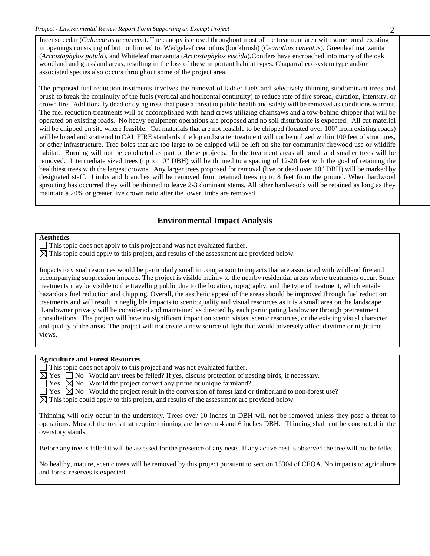Incense cedar (*Calocedrus decurrens*). The canopy is closed throughout most of the treatment area with some brush existing in openings consisting of but not limited to: Wedgeleaf ceanothus (buckbrush) (*Ceanothus cuneatus*), Greenleaf manzanita (*Arctostaphylos patula*), and Whiteleaf manzanita (*Arctostaphylos viscida*)*.*Conifers have encroached into many of the oak woodland and grassland areas, resulting in the loss of these important habitat types. Chaparral ecosystem type and/or associated species also occurs throughout some of the project area.

The proposed fuel reduction treatments involves the removal of ladder fuels and selectively thinning subdominant trees and brush to break the continuity of the fuels (vertical and horizontal continuity) to reduce rate of fire spread, duration, intensity, or crown fire. Additionally dead or dying tress that pose a threat to public health and safety will be removed as conditions warrant. The fuel reduction treatments will be accomplished with hand crews utilizing chainsaws and a tow-behind chipper that will be operated on existing roads. No heavy equipment operations are proposed and no soil disturbance is expected. All cut material will be chipped on site where feasible. Cut materials that are not feasible to be chipped (located over 100' from existing roads) will be loped and scattered to CAL FIRE standards, the lop and scatter treatment will not be utilized within 100 feet of structures, or other infrastructure. Tree boles that are too large to be chipped will be left on site for community firewood use or wildlife habitat. Burning will not be conducted as part of these projects. In the treatment areas all brush and smaller trees will be removed. Intermediate sized trees (up to 10" DBH) will be thinned to a spacing of 12-20 feet with the goal of retaining the healthiest trees with the largest crowns. Any larger trees proposed for removal (live or dead over 10" DBH) will be marked by designated staff. Limbs and branches will be removed from retained trees up to 8 feet from the ground. When hardwood sprouting has occurred they will be thinned to leave 2-3 dominant stems. All other hardwoods will be retained as long as they maintain a 20% or greater live crown ratio after the lower limbs are removed.

## **Environmental Impact Analysis**

#### **Aesthetics**

This topic does not apply to this project and was not evaluated further.

 $\boxtimes$  This topic could apply to this project, and results of the assessment are provided below:

Impacts to visual resources would be particularly small in comparison to impacts that are associated with wildland fire and accompanying suppression impacts. The project is visible mainly to the nearby residential areas where treatments occur. Some treatments may be visible to the travelling public due to the location, topography, and the type of treatment, which entails hazardous fuel reduction and chipping. Overall, the aesthetic appeal of the areas should be improved through fuel reduction treatments and will result in negligible impacts to scenic quality and visual resources as it is a small area on the landscape. Landowner privacy will be considered and maintained as directed by each participating landowner through pretreatment consultations. The project will have no significant impact on scenic vistas, scenic resources, or the existing visual character and quality of the areas. The project will not create a new source of light that would adversely affect daytime or nighttime views.

#### **Agriculture and Forest Resources**

This topic does not apply to this project and was not evaluated further.

 $\boxtimes$  Yes  $\Box$  No Would any trees be felled? If yes, discuss protection of nesting birds, if necessary.

 $\exists$  Yes  $\boxtimes$  No Would the project convert any prime or unique farmland?

 $\Box$  Yes  $\Box$  No Would the project result in the conversion of forest land or timberland to non-forest use?

 $\boxtimes$  This topic could apply to this project, and results of the assessment are provided below:

Thinning will only occur in the understory. Trees over 10 inches in DBH will not be removed unless they pose a threat to operations. Most of the trees that require thinning are between 4 and 6 inches DBH. Thinning shall not be conducted in the overstory stands.

Before any tree is felled it will be assessed for the presence of any nests. If any active nest is observed the tree will not be felled.

No healthy, mature, scenic trees will be removed by this project pursuant to section 15304 of CEQA. No impacts to agriculture and forest reserves is expected.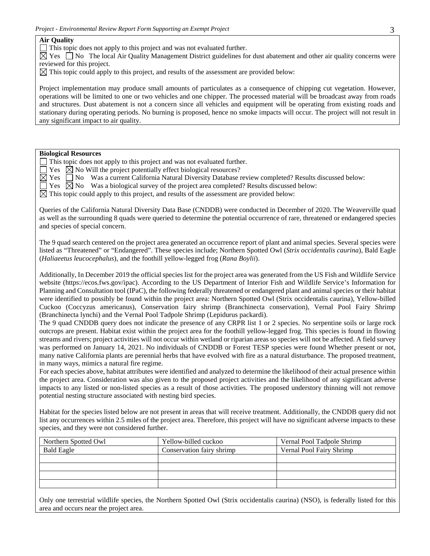#### **Air Quality**

 $\Box$  This topic does not apply to this project and was not evaluated further.

 $\boxtimes$  Yes  $\Box$  No The local Air Quality Management District guidelines for dust abatement and other air quality concerns were reviewed for this project.

 $\boxtimes$  This topic could apply to this project, and results of the assessment are provided below:

Project implementation may produce small amounts of particulates as a consequence of chipping cut vegetation. However, operations will be limited to one or two vehicles and one chipper. The processed material will be broadcast away from roads and structures. Dust abatement is not a concern since all vehicles and equipment will be operating from existing roads and stationary during operating periods. No burning is proposed, hence no smoke impacts will occur. The project will not result in any significant impact to air quality.

#### **Biological Resources**

This topic does not apply to this project and was not evaluated further.

 $\Box$  Yes  $\Box$  No Will the project potentially effect biological resources?

 $\boxtimes$  Yes  $\Box$  No Was a current California Natural Diversity Database review completed? Results discussed below:

 $\Box$  Yes  $\Box$  No Was a biological survey of the project area completed? Results discussed below:

 $\boxtimes$  This topic could apply to this project, and results of the assessment are provided below:

Queries of the California Natural Diversity Data Base (CNDDB) were conducted in December of 2020. The Weaverville quad as well as the surrounding 8 quads were queried to determine the potential occurrence of rare, threatened or endangered species and species of special concern.

The 9 quad search centered on the project area generated an occurrence report of plant and animal species. Several species were listed as "Threatened" or "Endangered". These species include; Northern Spotted Owl (*Strix occidentalis caurina*), Bald Eagle (*Haliaeetus leucocephalus*), and the foothill yellow-legged frog (*Rana Boylii*).

Additionally, In December 2019 the official species list for the project area was generated from the US Fish and Wildlife Service website (https://ecos.fws.gov/ipac). According to the US Department of Interior Fish and Wildlife Service's Information for Planning and Consultation tool (IPaC), the following federally threatened or endangered plant and animal species or their habitat were identified to possibly be found within the project area: Northern Spotted Owl (Strix occidentalis caurina), Yellow-billed Cuckoo (Coccyzus americanus), Conservation fairy shrimp (Branchinecta conservation), Vernal Pool Fairy Shrimp (Branchinecta lynchi) and the Vernal Pool Tadpole Shrimp (Lepidurus packardi).

The 9 quad CNDDB query does not indicate the presence of any CRPR list 1 or 2 species. No serpentine soils or large rock outcrops are present. Habitat exist within the project area for the foothill yellow-legged frog. This species is found in flowing streams and rivers; project activities will not occur within wetland or riparian areas so species will not be affected. A field survey was performed on January 14, 2021. No individuals of CNDDB or Forest TESP species were found Whether present or not, many native California plants are perennial herbs that have evolved with fire as a natural disturbance. The proposed treatment, in many ways, mimics a natural fire regime.

For each species above, habitat attributes were identified and analyzed to determine the likelihood of their actual presence within the project area. Consideration was also given to the proposed project activities and the likelihood of any significant adverse impacts to any listed or non-listed species as a result of those activities. The proposed understory thinning will not remove potential nesting structure associated with nesting bird species.

Habitat for the species listed below are not present in areas that will receive treatment. Additionally, the CNDDB query did not list any occurrences within 2.5 miles of the project area. Therefore, this project will have no significant adverse impacts to these species, and they were not considered further.

| Northern Spotted Owl | Yellow-billed cuckoo      | Vernal Pool Tadpole Shrimp |
|----------------------|---------------------------|----------------------------|
| <b>Bald Eagle</b>    | Conservation fairy shrimp | Vernal Pool Fairy Shrimp   |
|                      |                           |                            |
|                      |                           |                            |
|                      |                           |                            |
|                      |                           |                            |

Only one terrestrial wildlife species, the Northern Spotted Owl (Strix occidentalis caurina) (NSO), is federally listed for this area and occurs near the project area.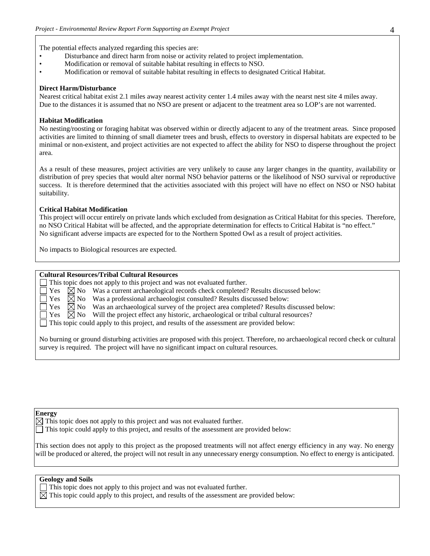The potential effects analyzed regarding this species are:

- Disturbance and direct harm from noise or activity related to project implementation.
- Modification or removal of suitable habitat resulting in effects to NSO.
- Modification or removal of suitable habitat resulting in effects to designated Critical Habitat.

#### **Direct Harm/Disturbance**

Nearest critical habitat exist 2.1 miles away nearest activity center 1.4 miles away with the nearst nest site 4 miles away. Due to the distances it is assumed that no NSO are present or adjacent to the treatment area so LOP's are not warrented.

#### **Habitat Modification**

No nesting/roosting or foraging habitat was observed within or directly adjacent to any of the treatment areas. Since proposed activities are limited to thinning of small diameter trees and brush, effects to overstory in dispersal habitats are expected to be minimal or non-existent, and project activities are not expected to affect the ability for NSO to disperse throughout the project area.

As a result of these measures, project activities are very unlikely to cause any larger changes in the quantity, availability or distribution of prey species that would alter normal NSO behavior patterns or the likelihood of NSO survival or reproductive success. It is therefore determined that the activities associated with this project will have no effect on NSO or NSO habitat suitability.

#### **Critical Habitat Modification**

This project will occur entirely on private lands which excluded from designation as Critical Habitat for this species. Therefore, no NSO Critical Habitat will be affected, and the appropriate determination for effects to Critical Habitat is "no effect." No significant adverse impacts are expected for to the Northern Spotted Owl as a result of project activities.

No impacts to Biological resources are expected.

#### **Cultural Resources/Tribal Cultural Resources**

 $\Box$  This topic does not apply to this project and was not evaluated further.

Yes  $\boxtimes$  No Was a current archaeological records check completed? Results discussed below:

 $\Box$  Yes  $\boxtimes$  No Was a professional archaeologist consulted? Results discussed below:<br> $\Box$  Yes  $\boxtimes$  No Was an archaeological survey of the project area completed? Results c

- $\boxtimes$  No Was an archaeological survey of the project area completed? Results discussed below:<br> $\boxtimes$  No Will the project effect any historic, archaeological or tribal cultural resources?
- $\gamma$  Yes  $\boxtimes$  No Will the project effect any historic, archaeological or tribal cultural resources?

This topic could apply to this project, and results of the assessment are provided below:

No burning or ground disturbing activities are proposed with this project. Therefore, no archaeological record check or cultural survey is required. The project will have no significant impact on cultural resources.

#### **Energy**

 $\boxtimes$  This topic does not apply to this project and was not evaluated further.

This topic could apply to this project, and results of the assessment are provided below:

This section does not apply to this project as the proposed treatments will not affect energy efficiency in any way. No energy will be produced or altered, the project will not result in any unnecessary energy consumption. No effect to energy is anticipated.

#### **Geology and Soils**

 $\Box$  This topic does not apply to this project and was not evaluated further.

 $\boxtimes$  This topic could apply to this project, and results of the assessment are provided below: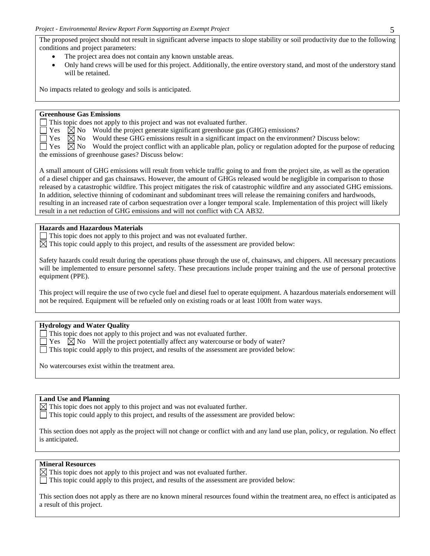The proposed project should not result in significant adverse impacts to slope stability or soil productivity due to the following conditions and project parameters:

- The project area does not contain any known unstable areas.
- Only hand crews will be used for this project. Additionally, the entire overstory stand, and most of the understory stand will be retained.

No impacts related to geology and soils is anticipated.

#### **Greenhouse Gas Emissions**

This topic does not apply to this project and was not evaluated further.

 $\Box$  Yes  $\boxtimes$  No Would the project generate significant greenhouse gas (GHG) emissions?

 $\Box$  Yes  $\boxtimes$  No Would these GHG emissions result in a significant impact on the environment? Discuss below:

 $\Box$  Yes  $\Box$  No Would the project conflict with an applicable plan, policy or regulation adopted for the purpose of reducing the emissions of greenhouse gases? Discuss below:

A small amount of GHG emissions will result from vehicle traffic going to and from the project site, as well as the operation of a diesel chipper and gas chainsaws. However, the amount of GHGs released would be negligible in comparison to those released by a catastrophic wildfire. This project mitigates the risk of catastrophic wildfire and any associated GHG emissions. In addition, selective thinning of codominant and subdominant trees will release the remaining conifers and hardwoods, resulting in an increased rate of carbon sequestration over a longer temporal scale. Implementation of this project will likely result in a net reduction of GHG emissions and will not conflict with CA AB32.

### **Hazards and Hazardous Materials**

This topic does not apply to this project and was not evaluated further.

 $\boxtimes$  This topic could apply to this project, and results of the assessment are provided below:

Safety hazards could result during the operations phase through the use of, chainsaws, and chippers. All necessary precautions will be implemented to ensure personnel safety. These precautions include proper training and the use of personal protective equipment (PPE).

This project will require the use of two cycle fuel and diesel fuel to operate equipment. A hazardous materials endorsement will not be required. Equipment will be refueled only on existing roads or at least 100ft from water ways.

#### **Hydrology and Water Quality**

- This topic does not apply to this project and was not evaluated further.
- $\Box$  Yes  $\Box$  No Will the project potentially affect any watercourse or body of water?
- $\Box$  This topic could apply to this project, and results of the assessment are provided below:

No watercourses exist within the treatment area.

### **Land Use and Planning**

 $\boxtimes$  This topic does not apply to this project and was not evaluated further.

This topic could apply to this project, and results of the assessment are provided below:

This section does not apply as the project will not change or conflict with and any land use plan, policy, or regulation. No effect is anticipated.

## **Mineral Resources**

 $\boxtimes$  This topic does not apply to this project and was not evaluated further.

This topic could apply to this project, and results of the assessment are provided below:

This section does not apply as there are no known mineral resources found within the treatment area, no effect is anticipated as a result of this project.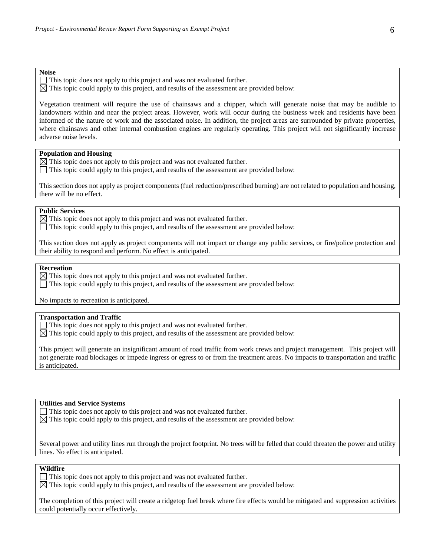#### **Noise**

This topic does not apply to this project and was not evaluated further.

 $\boxtimes$  This topic could apply to this project, and results of the assessment are provided below:

Vegetation treatment will require the use of chainsaws and a chipper, which will generate noise that may be audible to landowners within and near the project areas. However, work will occur during the business week and residents have been informed of the nature of work and the associated noise. In addition, the project areas are surrounded by private properties, where chainsaws and other internal combustion engines are regularly operating. This project will not significantly increase adverse noise levels.

#### **Population and Housing**

 $\overline{\boxtimes}$  This topic does not apply to this project and was not evaluated further.

This topic could apply to this project, and results of the assessment are provided below:

This section does not apply as project components (fuel reduction/prescribed burning) are not related to population and housing, there will be no effect.

#### **Public Services**

 $\boxtimes$  This topic does not apply to this project and was not evaluated further.

This topic could apply to this project, and results of the assessment are provided below:

This section does not apply as project components will not impact or change any public services, or fire/police protection and their ability to respond and perform. No effect is anticipated.

#### **Recreation**

 $\boxtimes$  This topic does not apply to this project and was not evaluated further.

This topic could apply to this project, and results of the assessment are provided below:

No impacts to recreation is anticipated.

#### **Transportation and Traffic**

 $\Box$  This topic does not apply to this project and was not evaluated further.

 $\boxtimes$  This topic could apply to this project, and results of the assessment are provided below:

This project will generate an insignificant amount of road traffic from work crews and project management. This project will not generate road blockages or impede ingress or egress to or from the treatment areas. No impacts to transportation and traffic is anticipated.

#### **Utilities and Service Systems**

This topic does not apply to this project and was not evaluated further.

 $\boxtimes$  This topic could apply to this project, and results of the assessment are provided below:

Several power and utility lines run through the project footprint. No trees will be felled that could threaten the power and utility lines. No effect is anticipated.

#### **Wildfire**

This topic does not apply to this project and was not evaluated further.

 $\boxtimes$  This topic could apply to this project, and results of the assessment are provided below:

The completion of this project will create a ridgetop fuel break where fire effects would be mitigated and suppression activities could potentially occur effectively.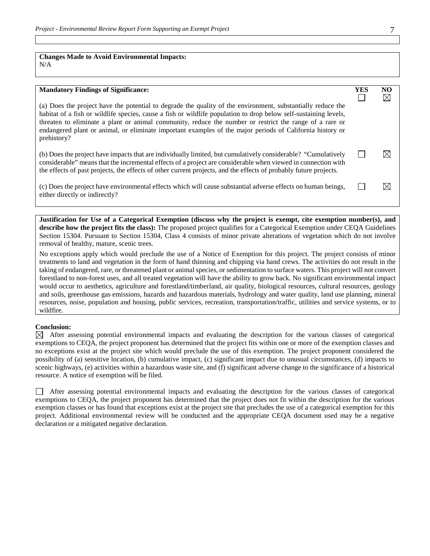# **Changes Made to Avoid Environmental Impacts:**

N/A

# **Mandatory Findings of Significance: YES NO**

(a) Does the project have the potential to degrade the quality of the environment, substantially reduce the habitat of a fish or wildlife species, cause a fish or wildlife population to drop below self-sustaining levels, threaten to eliminate a plant or animal community, reduce the number or restrict the range of a rare or endangered plant or animal, or eliminate important examples of the major periods of California history or prehistory?

(b) Does the project have impacts that are individually limited, but cumulatively considerable? "Cumulatively  $\Box$ considerable" means that the incremental effects of a project are considerable when viewed in connection with the effects of past projects, the effects of other current projects, and the effects of probably future projects.

 $\Box$ (c) Does the project have environmental effects which will cause substantial adverse effects on human beings, either directly or indirectly?

**Justification for Use of a Categorical Exemption (discuss why the project is exempt, cite exemption number(s), and describe how the project fits the class):** The proposed project qualifies for a Categorical Exemption under CEQA Guidelines Section 15304. Pursuant to Section 15304, Class 4 consists of minor private alterations of vegetation which do not involve removal of healthy, mature, scenic trees.

No exceptions apply which would preclude the use of a Notice of Exemption for this project. The project consists of minor treatments to land and vegetation in the form of hand thinning and chipping via hand crews. The activities do not result in the taking of endangered, rare, or threatened plant or animal species, or sedimentation to surface waters. This project will not convert forestland to non-forest uses, and all treated vegetation will have the ability to grow back. No significant environmental impact would occur to aesthetics, agriculture and forestland/timberland, air quality, biological resources, cultural resources, geology and soils, greenhouse gas emissions, hazards and hazardous materials, hydrology and water quality, land use planning, mineral resources, noise, population and housing, public services, recreation, transportation/traffic, utilities and service systems, or to wildfire.

#### **Conclusion:**

 $\boxtimes$  After assessing potential environmental impacts and evaluating the description for the various classes of categorical exemptions to CEQA, the project proponent has determined that the project fits within one or more of the exemption classes and no exceptions exist at the project site which would preclude the use of this exemption. The project proponent considered the possibility of (a) sensitive location, (b) cumulative impact, (c) significant impact due to unusual circumstances, (d) impacts to scenic highways, (e) activities within a hazardous waste site, and (f) significant adverse change to the significance of a historical resource. A notice of exemption will be filed.

After assessing potential environmental impacts and evaluating the description for the various classes of categorical exemptions to CEQA, the project proponent has determined that the project does not fit within the description for the various exemption classes or has found that exceptions exist at the project site that precludes the use of a categorical exemption for this project. Additional environmental review will be conducted and the appropriate CEQA document used may be a negative declaration or a mitigated negative declaration.

 $\boxtimes$ 

 $\boxtimes$ 

 $\perp$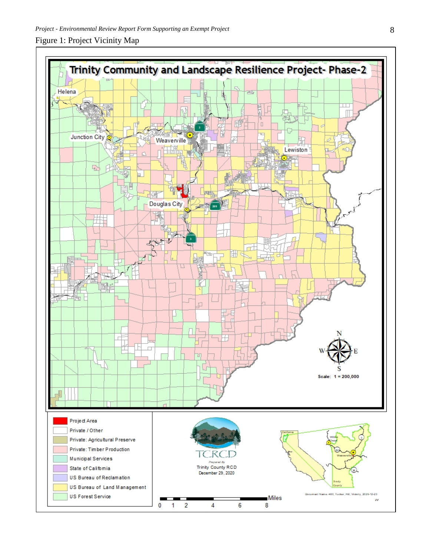# Figure 1: Project Vicinity Map